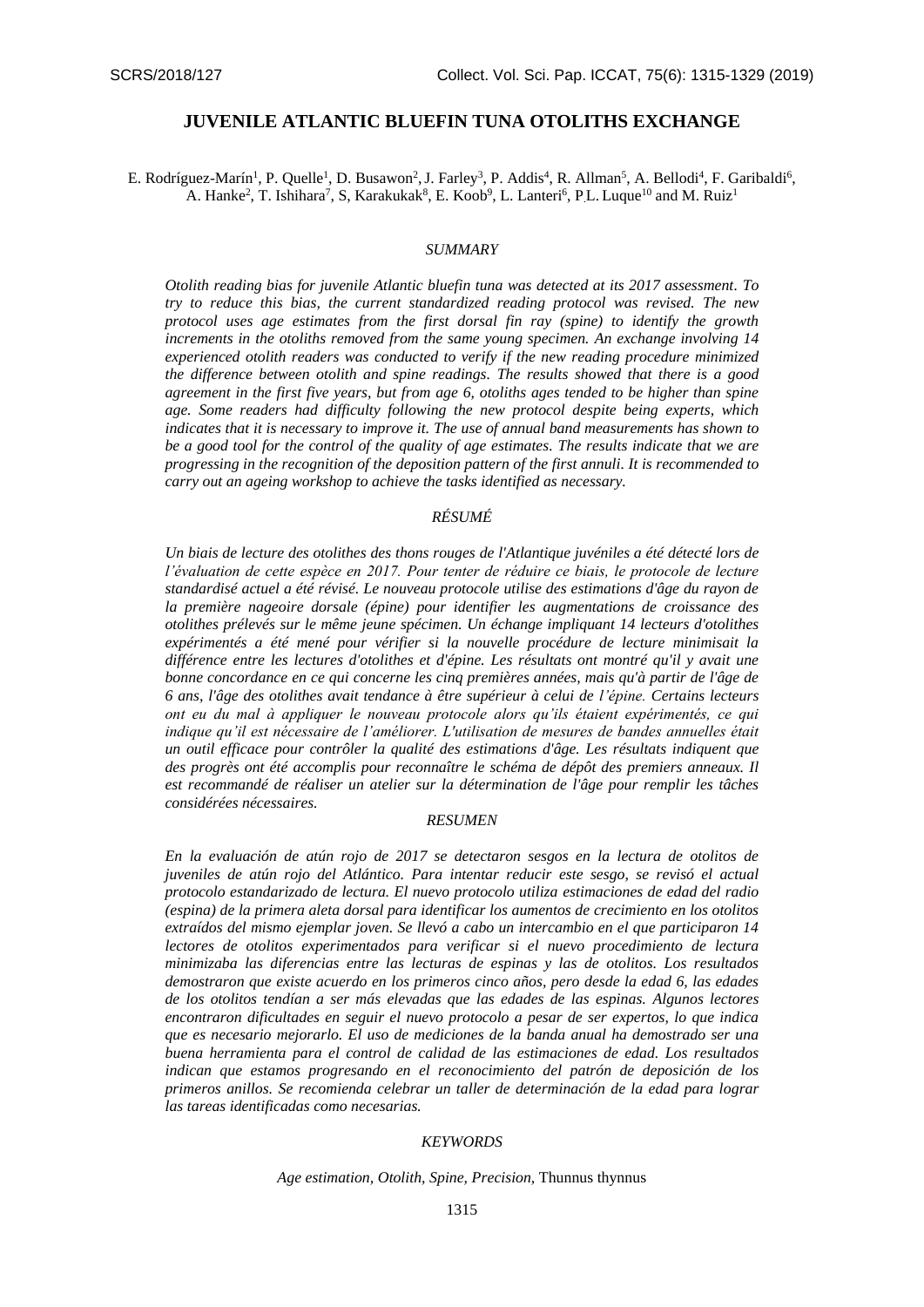## **JUVENILE ATLANTIC BLUEFIN TUNA OTOLITHS EXCHANGE**

E. Rodríguez-Marín<sup>1</sup>, P. Quelle<sup>1</sup>, D. Busawon<sup>2</sup>, J. Farley<sup>3</sup>, P. Addis<sup>4</sup>, R. Allman<sup>5</sup>, A. Bellodi<sup>4</sup>, F. Garibaldi<sup>6</sup>, A. Hanke<sup>2</sup>, T. Ishihara<sup>7</sup>, S, Karakukak<sup>8</sup>, E. Koob<sup>9</sup>, L. Lanteri<sup>6</sup>, P.L. Luque<sup>10</sup> and M. Ruiz<sup>1</sup>

### *SUMMARY*

*Otolith reading bias for juvenile Atlantic bluefin tuna was detected at its 2017 assessment. To try to reduce this bias, the current standardized reading protocol was revised. The new protocol uses age estimates from the first dorsal fin ray (spine) to identify the growth increments in the otoliths removed from the same young specimen. An exchange involving 14 experienced otolith readers was conducted to verify if the new reading procedure minimized the difference between otolith and spine readings. The results showed that there is a good agreement in the first five years, but from age 6, otoliths ages tended to be higher than spine age. Some readers had difficulty following the new protocol despite being experts, which indicates that it is necessary to improve it. The use of annual band measurements has shown to be a good tool for the control of the quality of age estimates. The results indicate that we are progressing in the recognition of the deposition pattern of the first annuli. It is recommended to carry out an ageing workshop to achieve the tasks identified as necessary.*

### *RÉSUMÉ*

*Un biais de lecture des otolithes des thons rouges de l'Atlantique juvéniles a été détecté lors de l'évaluation de cette espèce en 2017. Pour tenter de réduire ce biais, le protocole de lecture standardisé actuel a été révisé. Le nouveau protocole utilise des estimations d'âge du rayon de la première nageoire dorsale (épine) pour identifier les augmentations de croissance des otolithes prélevés sur le même jeune spécimen. Un échange impliquant 14 lecteurs d'otolithes expérimentés a été mené pour vérifier si la nouvelle procédure de lecture minimisait la différence entre les lectures d'otolithes et d'épine. Les résultats ont montré qu'il y avait une bonne concordance en ce qui concerne les cinq premières années, mais qu'à partir de l'âge de 6 ans, l'âge des otolithes avait tendance à être supérieur à celui de l'épine. Certains lecteurs ont eu du mal à appliquer le nouveau protocole alors qu'ils étaient expérimentés, ce qui indique qu'il est nécessaire de l'améliorer. L'utilisation de mesures de bandes annuelles était un outil efficace pour contrôler la qualité des estimations d'âge. Les résultats indiquent que des progrès ont été accomplis pour reconnaître le schéma de dépôt des premiers anneaux. Il est recommandé de réaliser un atelier sur la détermination de l'âge pour remplir les tâches considérées nécessaires.*

#### *RESUMEN*

*En la evaluación de atún rojo de 2017 se detectaron sesgos en la lectura de otolitos de juveniles de atún rojo del Atlántico. Para intentar reducir este sesgo, se revisó el actual protocolo estandarizado de lectura. El nuevo protocolo utiliza estimaciones de edad del radio (espina) de la primera aleta dorsal para identificar los aumentos de crecimiento en los otolitos extraídos del mismo ejemplar joven. Se llevó a cabo un intercambio en el que participaron 14 lectores de otolitos experimentados para verificar si el nuevo procedimiento de lectura minimizaba las diferencias entre las lecturas de espinas y las de otolitos. Los resultados demostraron que existe acuerdo en los primeros cinco años, pero desde la edad 6, las edades de los otolitos tendían a ser más elevadas que las edades de las espinas. Algunos lectores encontraron dificultades en seguir el nuevo protocolo a pesar de ser expertos, lo que indica que es necesario mejorarlo. El uso de mediciones de la banda anual ha demostrado ser una buena herramienta para el control de calidad de las estimaciones de edad. Los resultados indican que estamos progresando en el reconocimiento del patrón de deposición de los primeros anillos. Se recomienda celebrar un taller de determinación de la edad para lograr las tareas identificadas como necesarias.*

#### *KEYWORDS*

*Age estimation, Otolith, Spine, Precision,* Thunnus thynnus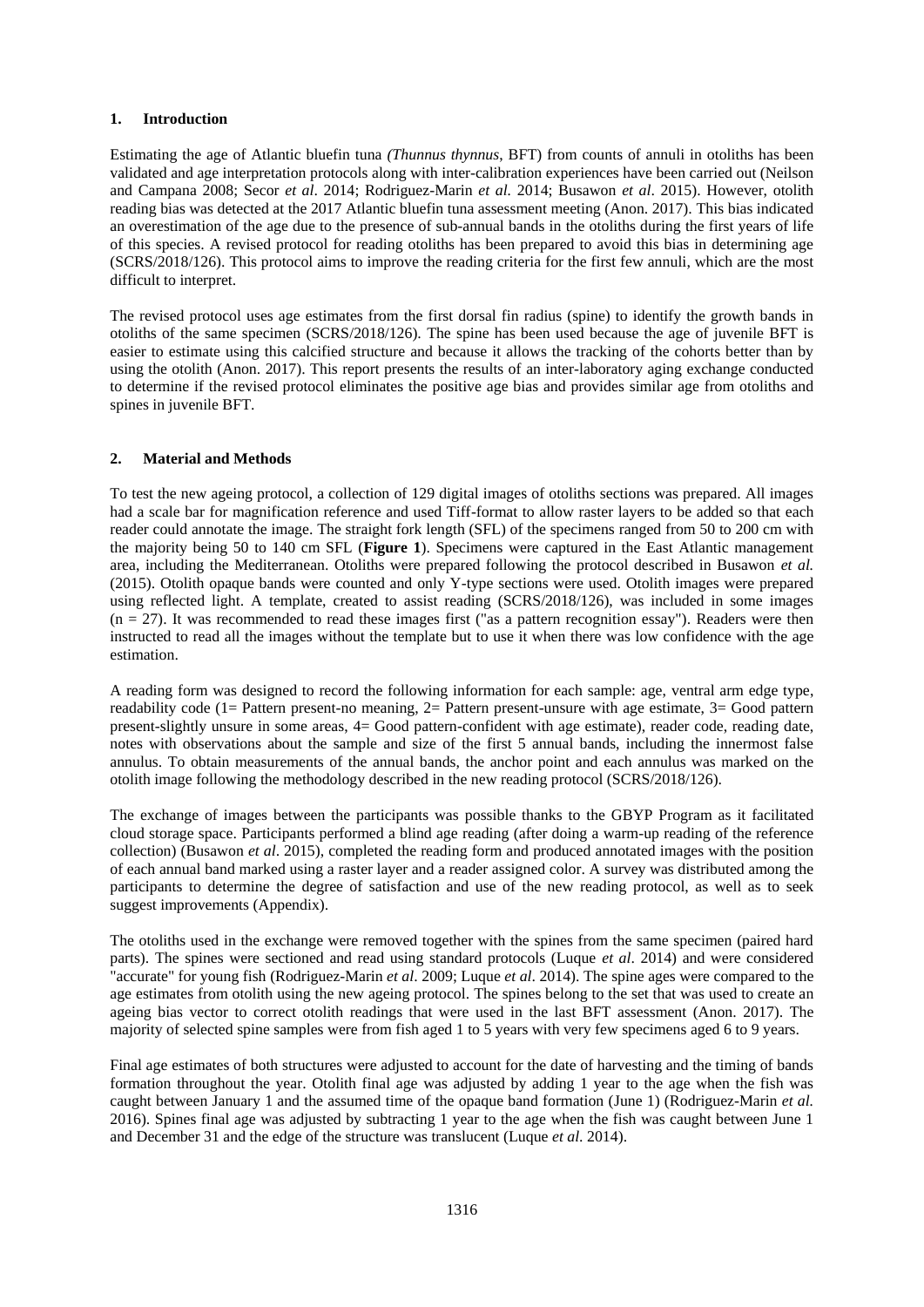#### **1. Introduction**

Estimating the age of Atlantic bluefin tuna *(Thunnus thynnus*, BFT) from counts of annuli in otoliths has been validated and age interpretation protocols along with inter-calibration experiences have been carried out (Neilson and Campana 2008; Secor *et al*. 2014; Rodriguez-Marin *et al.* 2014; Busawon *et al*. 2015). However, otolith reading bias was detected at the 2017 Atlantic bluefin tuna assessment meeting (Anon. 2017). This bias indicated an overestimation of the age due to the presence of sub-annual bands in the otoliths during the first years of life of this species. A revised protocol for reading otoliths has been prepared to avoid this bias in determining age (SCRS/2018/126). This protocol aims to improve the reading criteria for the first few annuli, which are the most difficult to interpret.

The revised protocol uses age estimates from the first dorsal fin radius (spine) to identify the growth bands in otoliths of the same specimen (SCRS/2018/126). The spine has been used because the age of juvenile BFT is easier to estimate using this calcified structure and because it allows the tracking of the cohorts better than by using the otolith (Anon. 2017). This report presents the results of an inter-laboratory aging exchange conducted to determine if the revised protocol eliminates the positive age bias and provides similar age from otoliths and spines in juvenile BFT.

### **2. Material and Methods**

To test the new ageing protocol, a collection of 129 digital images of otoliths sections was prepared. All images had a scale bar for magnification reference and used Tiff-format to allow raster layers to be added so that each reader could annotate the image. The straight fork length (SFL) of the specimens ranged from 50 to 200 cm with the majority being 50 to 140 cm SFL (**Figure 1**). Specimens were captured in the East Atlantic management area, including the Mediterranean. Otoliths were prepared following the protocol described in Busawon *et al.* (2015). Otolith opaque bands were counted and only Y-type sections were used. Otolith images were prepared using reflected light. A template, created to assist reading (SCRS/2018/126), was included in some images  $(n = 27)$ . It was recommended to read these images first ("as a pattern recognition essay"). Readers were then instructed to read all the images without the template but to use it when there was low confidence with the age estimation.

A reading form was designed to record the following information for each sample: age, ventral arm edge type, readability code (1= Pattern present-no meaning, 2= Pattern present-unsure with age estimate, 3= Good pattern present-slightly unsure in some areas, 4= Good pattern-confident with age estimate), reader code, reading date, notes with observations about the sample and size of the first 5 annual bands, including the innermost false annulus. To obtain measurements of the annual bands, the anchor point and each annulus was marked on the otolith image following the methodology described in the new reading protocol (SCRS/2018/126).

The exchange of images between the participants was possible thanks to the GBYP Program as it facilitated cloud storage space. Participants performed a blind age reading (after doing a warm-up reading of the reference collection) (Busawon *et al*. 2015), completed the reading form and produced annotated images with the position of each annual band marked using a raster layer and a reader assigned color. A survey was distributed among the participants to determine the degree of satisfaction and use of the new reading protocol, as well as to seek suggest improvements (Appendix).

The otoliths used in the exchange were removed together with the spines from the same specimen (paired hard parts). The spines were sectioned and read using standard protocols (Luque *et al*. 2014) and were considered "accurate" for young fish (Rodriguez-Marin *et al*. 2009; Luque *et al*. 2014). The spine ages were compared to the age estimates from otolith using the new ageing protocol. The spines belong to the set that was used to create an ageing bias vector to correct otolith readings that were used in the last BFT assessment (Anon. 2017). The majority of selected spine samples were from fish aged 1 to 5 years with very few specimens aged 6 to 9 years.

Final age estimates of both structures were adjusted to account for the date of harvesting and the timing of bands formation throughout the year. Otolith final age was adjusted by adding 1 year to the age when the fish was caught between January 1 and the assumed time of the opaque band formation (June 1) (Rodriguez-Marin *et al.* 2016). Spines final age was adjusted by subtracting 1 year to the age when the fish was caught between June 1 and December 31 and the edge of the structure was translucent (Luque *et al*. 2014).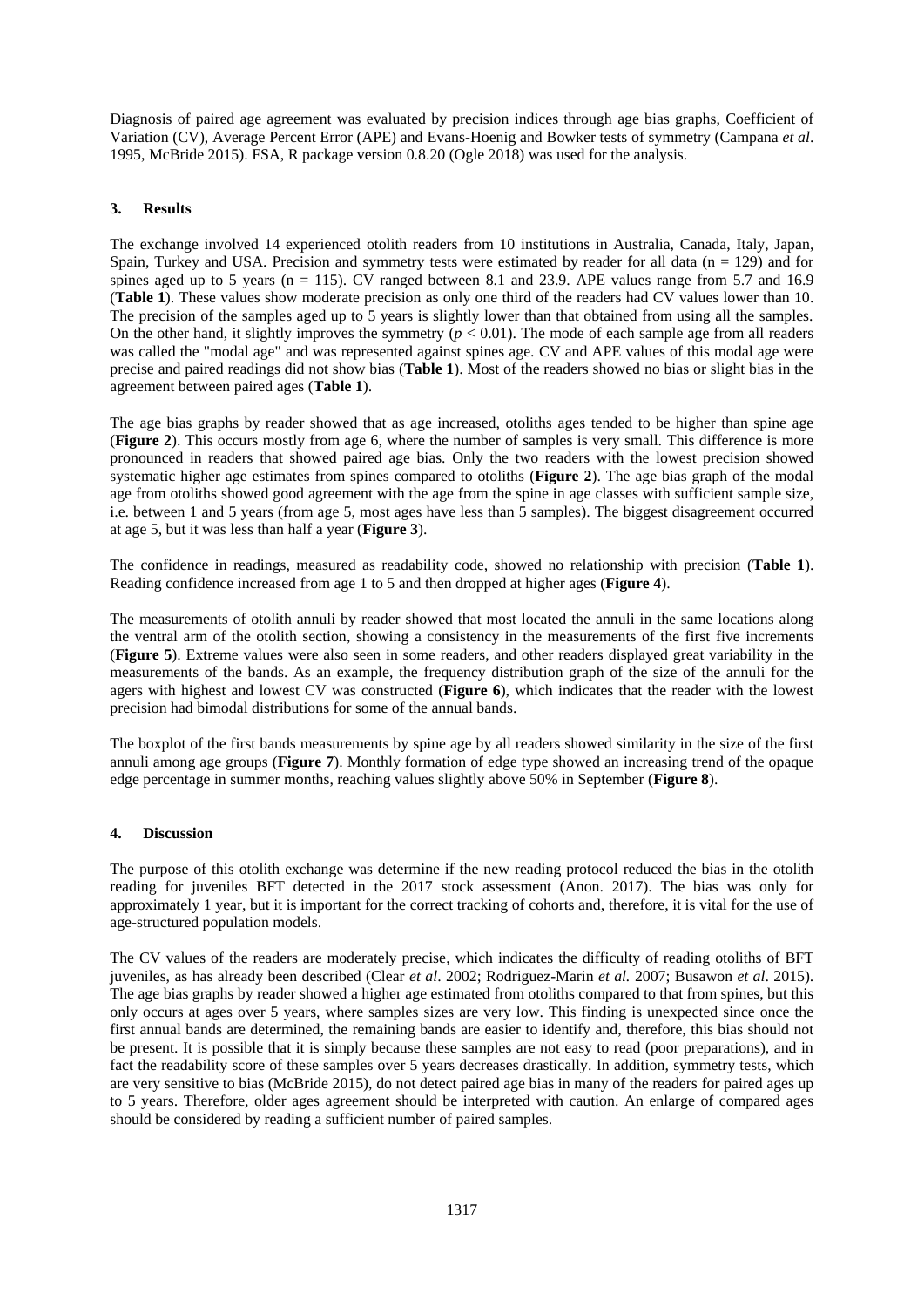Diagnosis of paired age agreement was evaluated by precision indices through age bias graphs, Coefficient of Variation (CV), Average Percent Error (APE) and Evans-Hoenig and Bowker tests of symmetry (Campana *et al*. 1995, McBride 2015). FSA, R package version 0.8.20 (Ogle 2018) was used for the analysis.

### **3. Results**

The exchange involved 14 experienced otolith readers from 10 institutions in Australia, Canada, Italy, Japan, Spain, Turkey and USA. Precision and symmetry tests were estimated by reader for all data ( $n = 129$ ) and for spines aged up to 5 years ( $n = 115$ ). CV ranged between 8.1 and 23.9. APE values range from 5.7 and 16.9 (**Table 1**). These values show moderate precision as only one third of the readers had CV values lower than 10. The precision of the samples aged up to 5 years is slightly lower than that obtained from using all the samples. On the other hand, it slightly improves the symmetry  $(p < 0.01)$ . The mode of each sample age from all readers was called the "modal age" and was represented against spines age. CV and APE values of this modal age were precise and paired readings did not show bias (**Table 1**). Most of the readers showed no bias or slight bias in the agreement between paired ages (**Table 1**).

The age bias graphs by reader showed that as age increased, otoliths ages tended to be higher than spine age (**Figure 2**). This occurs mostly from age 6, where the number of samples is very small. This difference is more pronounced in readers that showed paired age bias. Only the two readers with the lowest precision showed systematic higher age estimates from spines compared to otoliths (**Figure 2**). The age bias graph of the modal age from otoliths showed good agreement with the age from the spine in age classes with sufficient sample size, i.e. between 1 and 5 years (from age 5, most ages have less than 5 samples). The biggest disagreement occurred at age 5, but it was less than half a year (**Figure 3**).

The confidence in readings, measured as readability code, showed no relationship with precision (**Table 1**). Reading confidence increased from age 1 to 5 and then dropped at higher ages (**Figure 4**).

The measurements of otolith annuli by reader showed that most located the annuli in the same locations along the ventral arm of the otolith section, showing a consistency in the measurements of the first five increments (**Figure 5**). Extreme values were also seen in some readers, and other readers displayed great variability in the measurements of the bands. As an example, the frequency distribution graph of the size of the annuli for the agers with highest and lowest CV was constructed (**Figure 6**), which indicates that the reader with the lowest precision had bimodal distributions for some of the annual bands.

The boxplot of the first bands measurements by spine age by all readers showed similarity in the size of the first annuli among age groups (**Figure 7**). Monthly formation of edge type showed an increasing trend of the opaque edge percentage in summer months, reaching values slightly above 50% in September (**Figure 8**).

### **4. Discussion**

The purpose of this otolith exchange was determine if the new reading protocol reduced the bias in the otolith reading for juveniles BFT detected in the 2017 stock assessment (Anon. 2017). The bias was only for approximately 1 year, but it is important for the correct tracking of cohorts and, therefore, it is vital for the use of age-structured population models.

The CV values of the readers are moderately precise, which indicates the difficulty of reading otoliths of BFT juveniles, as has already been described (Clear *et al*. 2002; Rodriguez-Marin *et al.* 2007; Busawon *et al*. 2015). The age bias graphs by reader showed a higher age estimated from otoliths compared to that from spines, but this only occurs at ages over 5 years, where samples sizes are very low. This finding is unexpected since once the first annual bands are determined, the remaining bands are easier to identify and, therefore, this bias should not be present. It is possible that it is simply because these samples are not easy to read (poor preparations), and in fact the readability score of these samples over 5 years decreases drastically. In addition, symmetry tests, which are very sensitive to bias (McBride 2015), do not detect paired age bias in many of the readers for paired ages up to 5 years. Therefore, older ages agreement should be interpreted with caution. An enlarge of compared ages should be considered by reading a sufficient number of paired samples.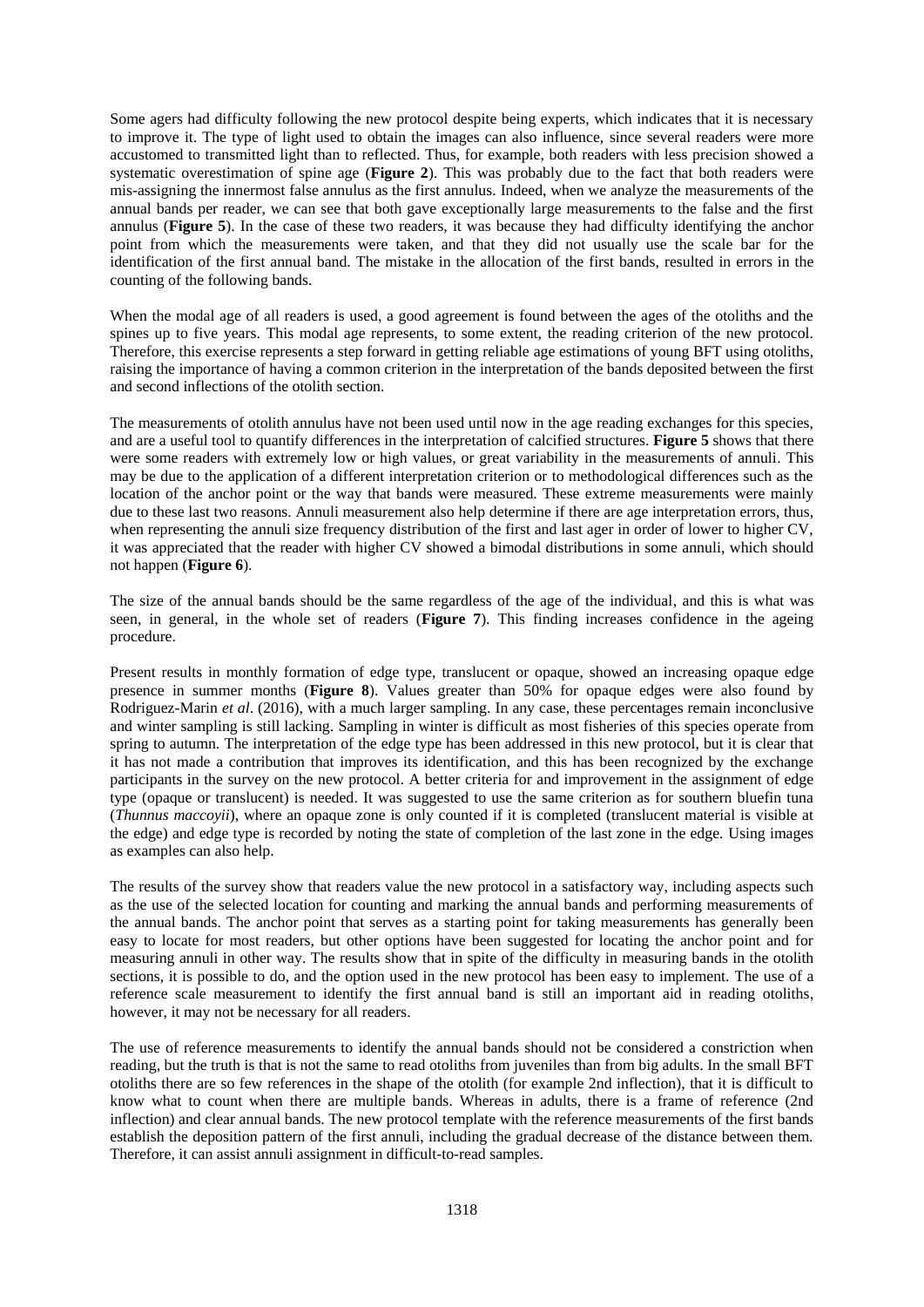Some agers had difficulty following the new protocol despite being experts, which indicates that it is necessary to improve it. The type of light used to obtain the images can also influence, since several readers were more accustomed to transmitted light than to reflected. Thus, for example, both readers with less precision showed a systematic overestimation of spine age (**Figure 2**). This was probably due to the fact that both readers were mis-assigning the innermost false annulus as the first annulus. Indeed, when we analyze the measurements of the annual bands per reader, we can see that both gave exceptionally large measurements to the false and the first annulus (**Figure 5**). In the case of these two readers, it was because they had difficulty identifying the anchor point from which the measurements were taken, and that they did not usually use the scale bar for the identification of the first annual band. The mistake in the allocation of the first bands, resulted in errors in the counting of the following bands.

When the modal age of all readers is used, a good agreement is found between the ages of the otoliths and the spines up to five years. This modal age represents, to some extent, the reading criterion of the new protocol. Therefore, this exercise represents a step forward in getting reliable age estimations of young BFT using otoliths, raising the importance of having a common criterion in the interpretation of the bands deposited between the first and second inflections of the otolith section.

The measurements of otolith annulus have not been used until now in the age reading exchanges for this species, and are a useful tool to quantify differences in the interpretation of calcified structures. **Figure 5** shows that there were some readers with extremely low or high values, or great variability in the measurements of annuli. This may be due to the application of a different interpretation criterion or to methodological differences such as the location of the anchor point or the way that bands were measured. These extreme measurements were mainly due to these last two reasons. Annuli measurement also help determine if there are age interpretation errors, thus, when representing the annuli size frequency distribution of the first and last ager in order of lower to higher CV, it was appreciated that the reader with higher CV showed a bimodal distributions in some annuli, which should not happen (**Figure 6**).

The size of the annual bands should be the same regardless of the age of the individual, and this is what was seen, in general, in the whole set of readers (**Figure 7**). This finding increases confidence in the ageing procedure.

Present results in monthly formation of edge type, translucent or opaque, showed an increasing opaque edge presence in summer months (**Figure 8**). Values greater than 50% for opaque edges were also found by Rodriguez-Marin *et al*. (2016), with a much larger sampling. In any case, these percentages remain inconclusive and winter sampling is still lacking. Sampling in winter is difficult as most fisheries of this species operate from spring to autumn. The interpretation of the edge type has been addressed in this new protocol, but it is clear that it has not made a contribution that improves its identification, and this has been recognized by the exchange participants in the survey on the new protocol. A better criteria for and improvement in the assignment of edge type (opaque or translucent) is needed. It was suggested to use the same criterion as for southern bluefin tuna (*Thunnus maccoyii*), where an opaque zone is only counted if it is completed (translucent material is visible at the edge) and edge type is recorded by noting the state of completion of the last zone in the edge. Using images as examples can also help.

The results of the survey show that readers value the new protocol in a satisfactory way, including aspects such as the use of the selected location for counting and marking the annual bands and performing measurements of the annual bands. The anchor point that serves as a starting point for taking measurements has generally been easy to locate for most readers, but other options have been suggested for locating the anchor point and for measuring annuli in other way. The results show that in spite of the difficulty in measuring bands in the otolith sections, it is possible to do, and the option used in the new protocol has been easy to implement. The use of a reference scale measurement to identify the first annual band is still an important aid in reading otoliths, however, it may not be necessary for all readers.

The use of reference measurements to identify the annual bands should not be considered a constriction when reading, but the truth is that is not the same to read otoliths from juveniles than from big adults. In the small BFT otoliths there are so few references in the shape of the otolith (for example 2nd inflection), that it is difficult to know what to count when there are multiple bands. Whereas in adults, there is a frame of reference (2nd inflection) and clear annual bands. The new protocol template with the reference measurements of the first bands establish the deposition pattern of the first annuli, including the gradual decrease of the distance between them. Therefore, it can assist annuli assignment in difficult-to-read samples.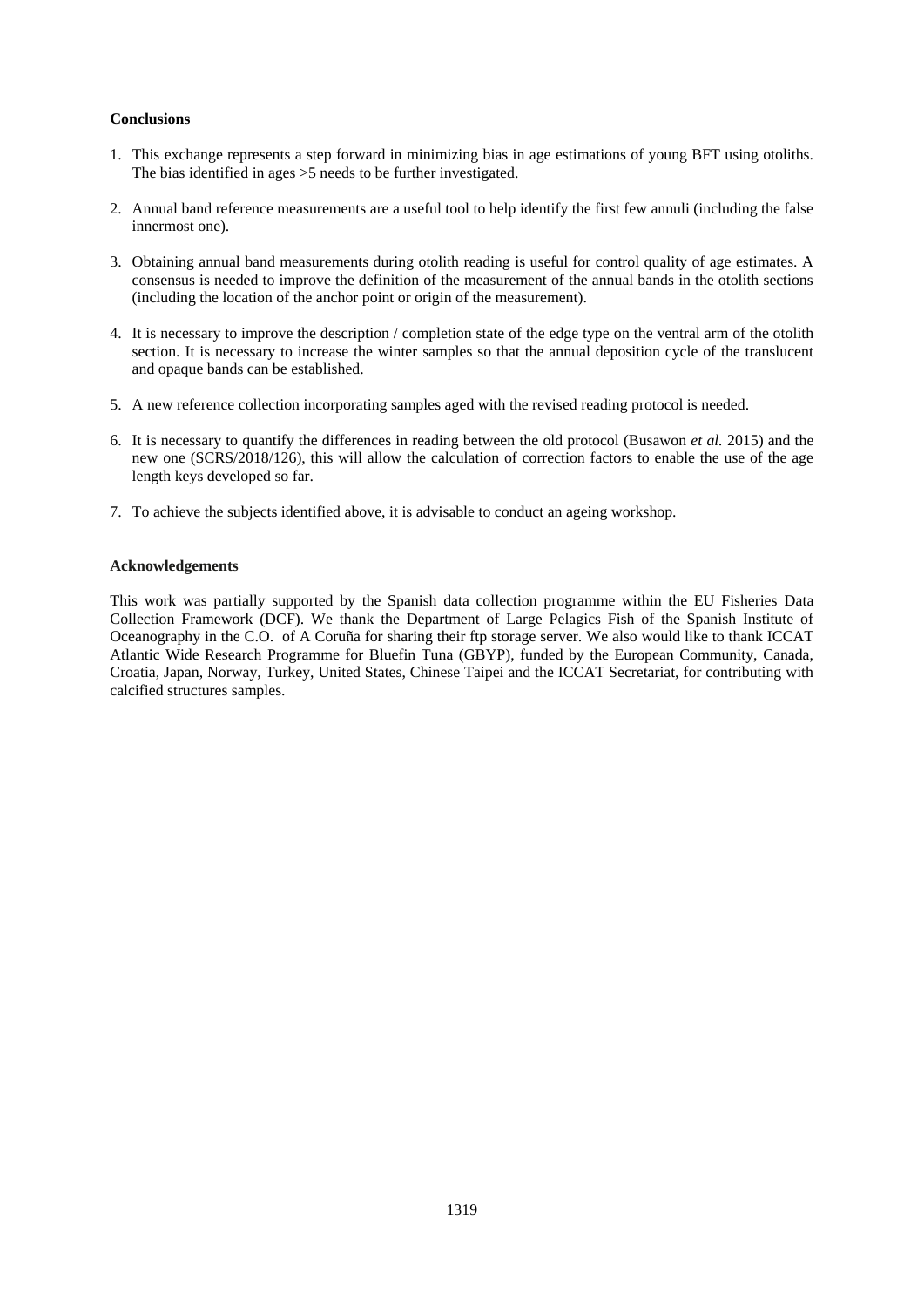#### **Conclusions**

- 1. This exchange represents a step forward in minimizing bias in age estimations of young BFT using otoliths. The bias identified in ages >5 needs to be further investigated.
- 2. Annual band reference measurements are a useful tool to help identify the first few annuli (including the false innermost one).
- 3. Obtaining annual band measurements during otolith reading is useful for control quality of age estimates. A consensus is needed to improve the definition of the measurement of the annual bands in the otolith sections (including the location of the anchor point or origin of the measurement).
- 4. It is necessary to improve the description / completion state of the edge type on the ventral arm of the otolith section. It is necessary to increase the winter samples so that the annual deposition cycle of the translucent and opaque bands can be established.
- 5. A new reference collection incorporating samples aged with the revised reading protocol is needed.
- 6. It is necessary to quantify the differences in reading between the old protocol (Busawon *et al.* 2015) and the new one (SCRS/2018/126), this will allow the calculation of correction factors to enable the use of the age length keys developed so far.
- 7. To achieve the subjects identified above, it is advisable to conduct an ageing workshop.

#### **Acknowledgements**

This work was partially supported by the Spanish data collection programme within the EU Fisheries Data Collection Framework (DCF). We thank the Department of Large Pelagics Fish of the Spanish Institute of Oceanography in the C.O. of A Coruña for sharing their ftp storage server. We also would like to thank ICCAT Atlantic Wide Research Programme for Bluefin Tuna (GBYP), funded by the European Community, Canada, Croatia, Japan, Norway, Turkey, United States, Chinese Taipei and the ICCAT Secretariat, for contributing with calcified structures samples.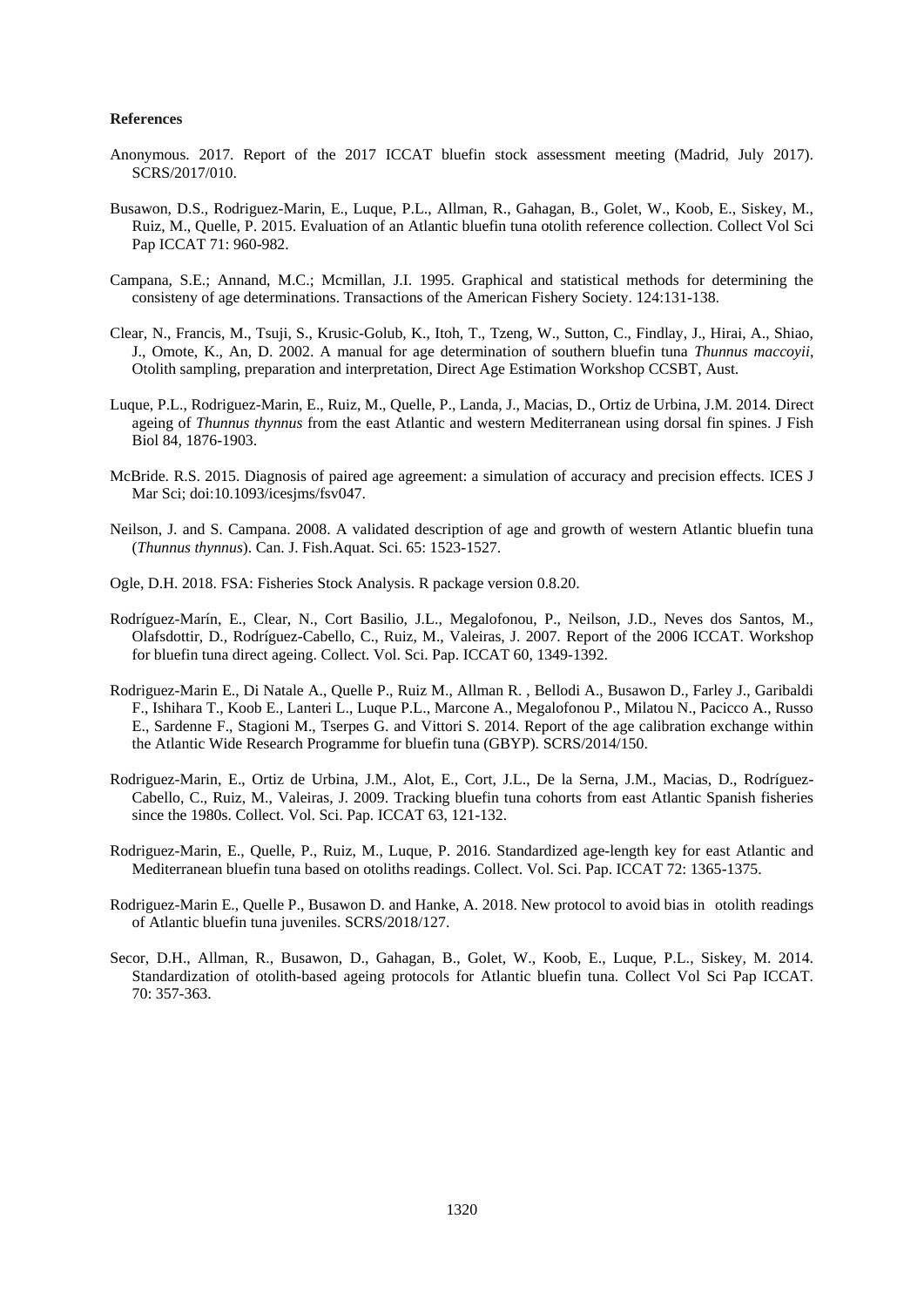#### **References**

- Anonymous. 2017. Report of the 2017 ICCAT bluefin stock assessment meeting (Madrid, July 2017). SCRS/2017/010.
- Busawon, D.S., Rodriguez-Marin, E., Luque, P.L., Allman, R., Gahagan, B., Golet, W., Koob, E., Siskey, M., Ruiz, M., Quelle, P. 2015. Evaluation of an Atlantic bluefin tuna otolith reference collection. Collect Vol Sci Pap ICCAT 71: 960-982.
- Campana, S.E.; Annand, M.C.; Mcmillan, J.I. 1995. Graphical and statistical methods for determining the consisteny of age determinations. Transactions of the American Fishery Society. 124:131-138.
- Clear, N., Francis, M., Tsuji, S., Krusic-Golub, K., Itoh, T., Tzeng, W., Sutton, C., Findlay, J., Hirai, A., Shiao, J., Omote, K., An, D. 2002. A manual for age determination of southern bluefin tuna *Thunnus maccoyii*, Otolith sampling, preparation and interpretation, Direct Age Estimation Workshop CCSBT, Aust.
- Luque, P.L., Rodriguez-Marin, E., Ruiz, M., Quelle, P., Landa, J., Macias, D., Ortiz de Urbina, J.M. 2014. Direct ageing of *Thunnus thynnus* from the east Atlantic and western Mediterranean using dorsal fin spines. J Fish Biol 84, 1876-1903.
- McBride. R.S. 2015. Diagnosis of paired age agreement: a simulation of accuracy and precision effects. ICES J Mar Sci; doi:10.1093/icesjms/fsv047.
- Neilson, J. and S. Campana. 2008. A validated description of age and growth of western Atlantic bluefin tuna (*Thunnus thynnus*). Can. J. Fish.Aquat. Sci. 65: 1523-1527.
- Ogle, D.H. 2018. FSA: Fisheries Stock Analysis. R package version 0.8.20.
- Rodríguez-Marín, E., Clear, N., Cort Basilio, J.L., Megalofonou, P., Neilson, J.D., Neves dos Santos, M., Olafsdottir, D., Rodríguez-Cabello, C., Ruiz, M., Valeiras, J. 2007. Report of the 2006 ICCAT. Workshop for bluefin tuna direct ageing. Collect. Vol. Sci. Pap. ICCAT 60, 1349-1392.
- Rodriguez-Marin E., Di Natale A., Quelle P., Ruiz M., Allman R. , Bellodi A., Busawon D., Farley J., Garibaldi F., Ishihara T., Koob E., Lanteri L., Luque P.L., Marcone A., Megalofonou P., Milatou N., Pacicco A., Russo E., Sardenne F., Stagioni M., Tserpes G. and Vittori S. 2014. Report of the age calibration exchange within the Atlantic Wide Research Programme for bluefin tuna (GBYP). SCRS/2014/150.
- Rodriguez-Marin, E., Ortiz de Urbina, J.M., Alot, E., Cort, J.L., De la Serna, J.M., Macias, D., Rodríguez-Cabello, C., Ruiz, M., Valeiras, J. 2009. Tracking bluefin tuna cohorts from east Atlantic Spanish fisheries since the 1980s. Collect. Vol. Sci. Pap. ICCAT 63, 121-132.
- Rodriguez-Marin, E., Quelle, P., Ruiz, M., Luque, P. 2016. Standardized age-length key for east Atlantic and Mediterranean bluefin tuna based on otoliths readings. Collect. Vol. Sci. Pap. ICCAT 72: 1365-1375.
- Rodriguez-Marin E., Quelle P., Busawon D. and Hanke, A. 2018. New protocol to avoid bias in otolith readings of Atlantic bluefin tuna juveniles. SCRS/2018/127.
- Secor, D.H., Allman, R., Busawon, D., Gahagan, B., Golet, W., Koob, E., Luque, P.L., Siskey, M. 2014. Standardization of otolith-based ageing protocols for Atlantic bluefin tuna. Collect Vol Sci Pap ICCAT. 70: 357-363.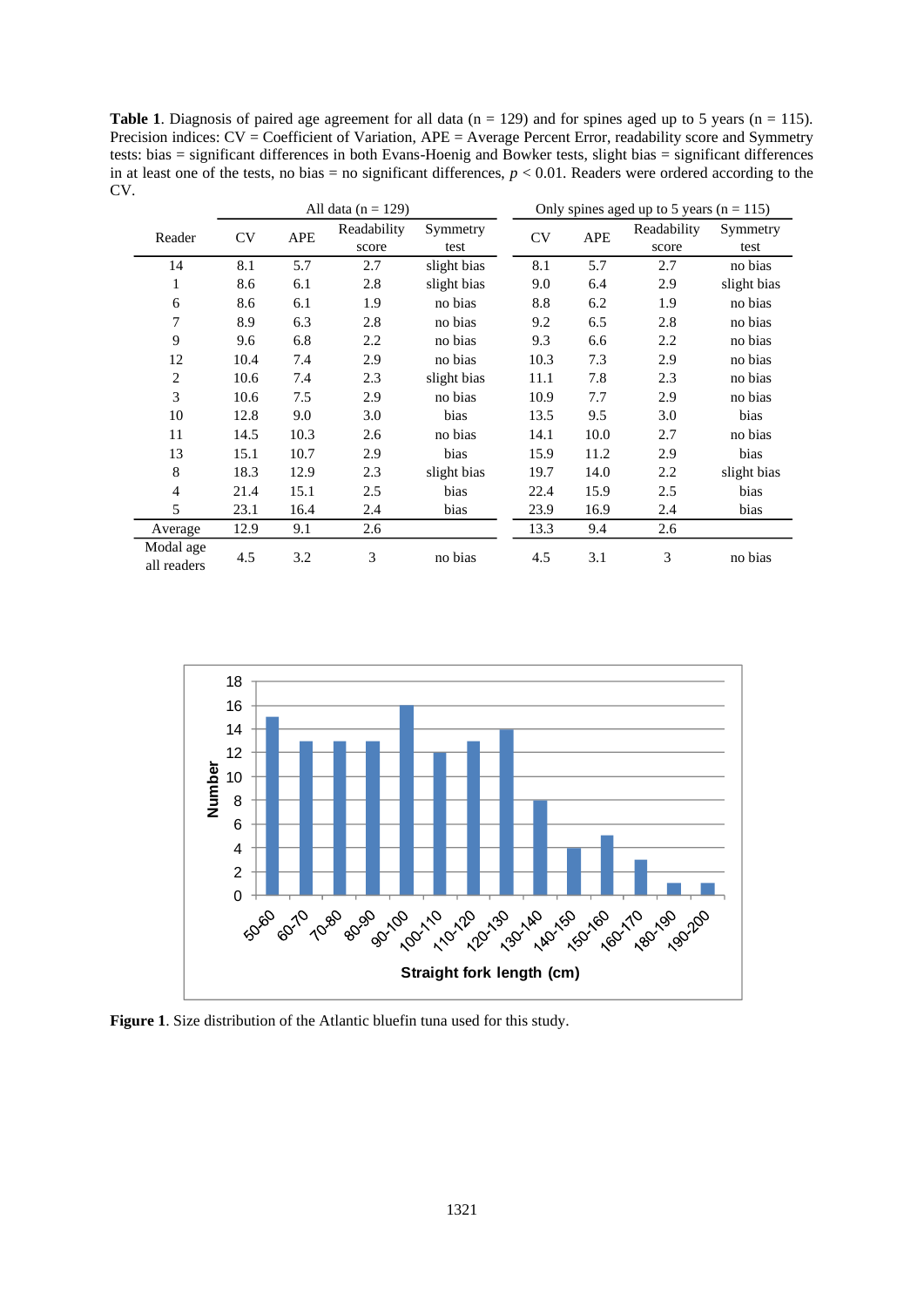Table 1. Diagnosis of paired age agreement for all data (n = 129) and for spines aged up to 5 years (n = 115). Precision indices: CV = Coefficient of Variation, APE = Average Percent Error, readability score and Symmetry tests: bias = significant differences in both Evans-Hoenig and Bowker tests, slight bias = significant differences in at least one of the tests, no bias = no significant differences,  $p < 0.01$ . Readers were ordered according to the CV.

|                          | All data ( $n = 129$ ) |            |                      |                  | Only spines aged up to 5 years ( $n = 115$ ) |            |                      |                  |
|--------------------------|------------------------|------------|----------------------|------------------|----------------------------------------------|------------|----------------------|------------------|
| Reader                   | CV                     | <b>APE</b> | Readability<br>score | Symmetry<br>test | CV                                           | <b>APE</b> | Readability<br>score | Symmetry<br>test |
| 14                       | 8.1                    | 5.7        | 2.7                  | slight bias      | 8.1                                          | 5.7        | 2.7                  | no bias          |
| 1                        | 8.6                    | 6.1        | 2.8                  | slight bias      | 9.0                                          | 6.4        | 2.9                  | slight bias      |
| 6                        | 8.6                    | 6.1        | 1.9                  | no bias          | 8.8                                          | 6.2        | 1.9                  | no bias          |
| 7                        | 8.9                    | 6.3        | 2.8                  | no bias          | 9.2                                          | 6.5        | 2.8                  | no bias          |
| 9                        | 9.6                    | 6.8        | 2.2                  | no bias          | 9.3                                          | 6.6        | 2.2                  | no bias          |
| 12                       | 10.4                   | 7.4        | 2.9                  | no bias          | 10.3                                         | 7.3        | 2.9                  | no bias          |
| 2                        | 10.6                   | 7.4        | 2.3                  | slight bias      | 11.1                                         | 7.8        | 2.3                  | no bias          |
| 3                        | 10.6                   | 7.5        | 2.9                  | no bias          | 10.9                                         | 7.7        | 2.9                  | no bias          |
| 10                       | 12.8                   | 9.0        | 3.0                  | bias             | 13.5                                         | 9.5        | 3.0                  | bias             |
| 11                       | 14.5                   | 10.3       | 2.6                  | no bias          | 14.1                                         | 10.0       | 2.7                  | no bias          |
| 13                       | 15.1                   | 10.7       | 2.9                  | bias             | 15.9                                         | 11.2       | 2.9                  | bias             |
| 8                        | 18.3                   | 12.9       | 2.3                  | slight bias      | 19.7                                         | 14.0       | 2.2                  | slight bias      |
| 4                        | 21.4                   | 15.1       | 2.5                  | bias             | 22.4                                         | 15.9       | 2.5                  | bias             |
| 5                        | 23.1                   | 16.4       | 2.4                  | bias             | 23.9                                         | 16.9       | 2.4                  | bias             |
| Average                  | 12.9                   | 9.1        | 2.6                  |                  | 13.3                                         | 9.4        | 2.6                  |                  |
| Modal age<br>all readers | 4.5                    | 3.2        | 3                    | no bias          | 4.5                                          | 3.1        | 3                    | no bias          |



**Figure 1**. Size distribution of the Atlantic bluefin tuna used for this study.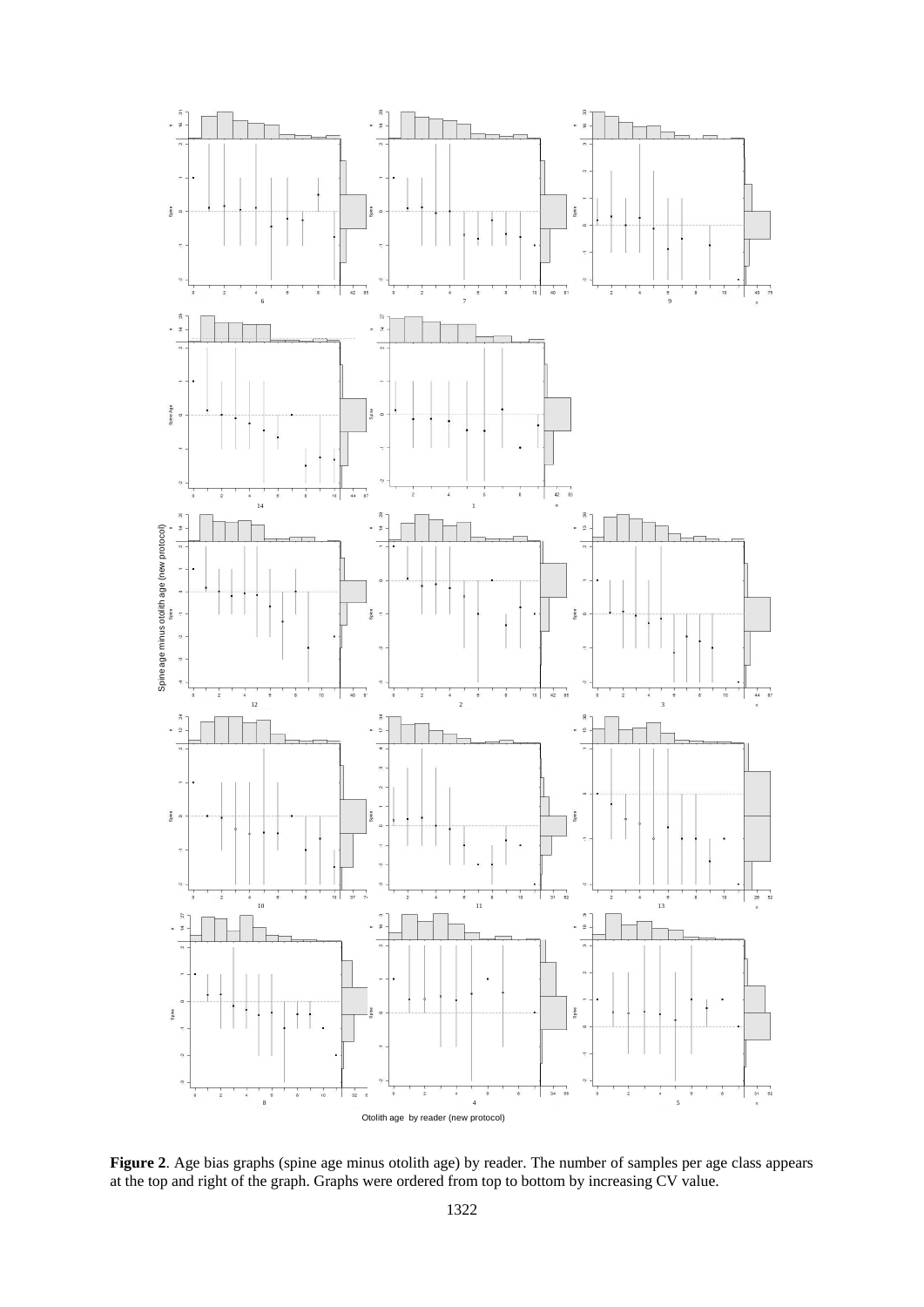

Figure 2. Age bias graphs (spine age minus otolith age) by reader. The number of samples per age class appears at the top and right of the graph. Graphs were ordered from top to bottom by increasing CV value.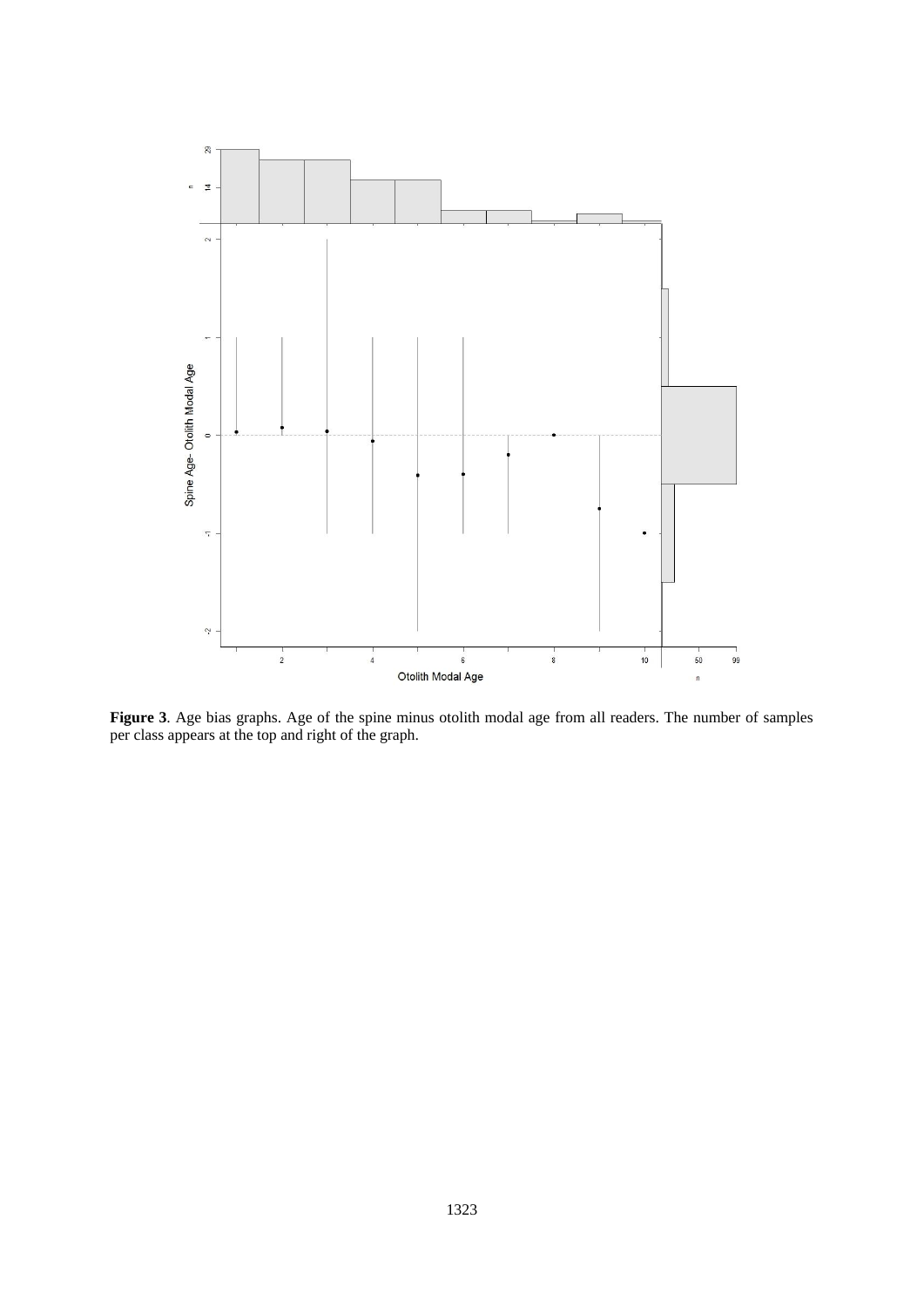

**Figure 3**. Age bias graphs. Age of the spine minus otolith modal age from all readers. The number of samples per class appears at the top and right of the graph.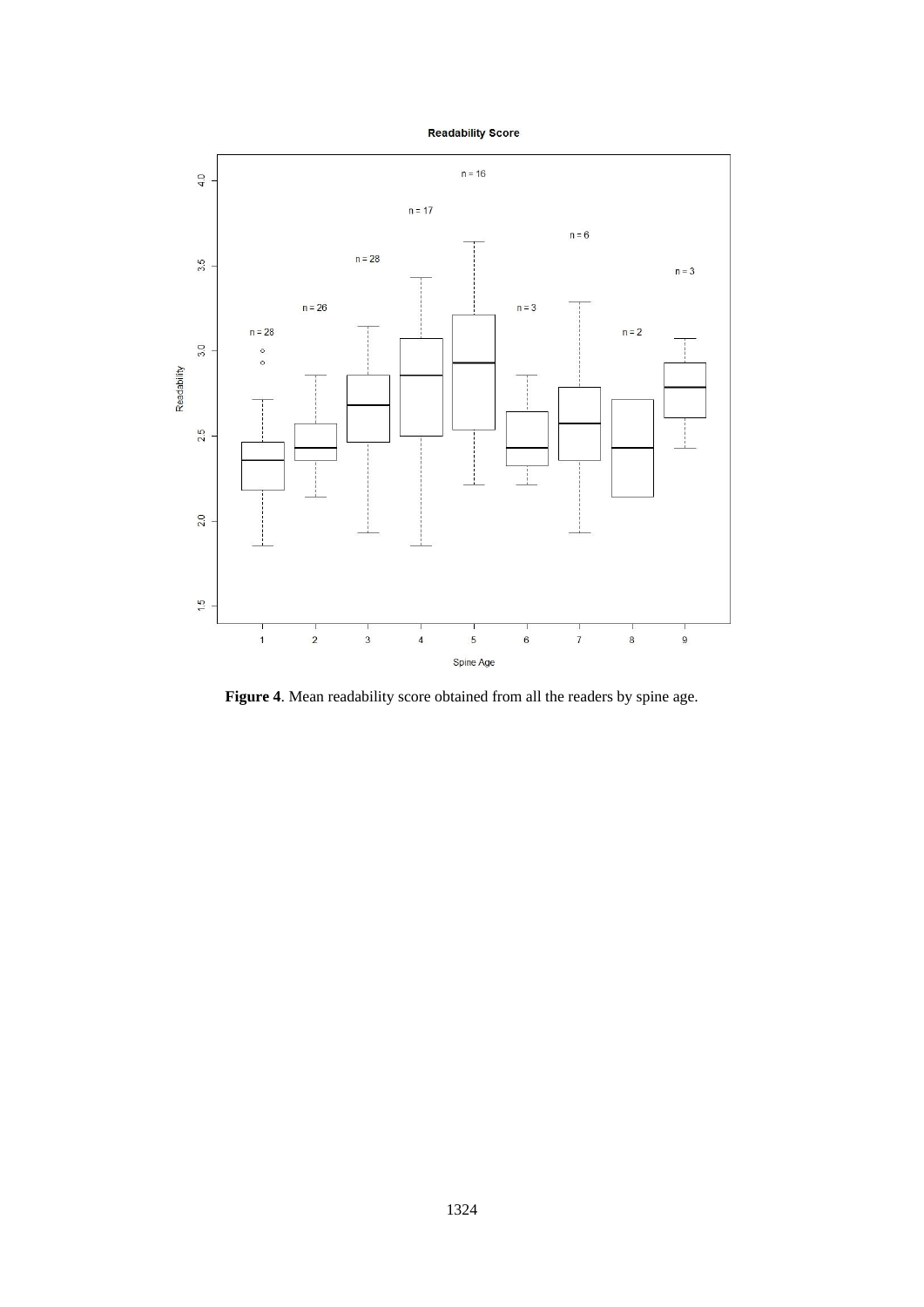



**Figure 4**. Mean readability score obtained from all the readers by spine age.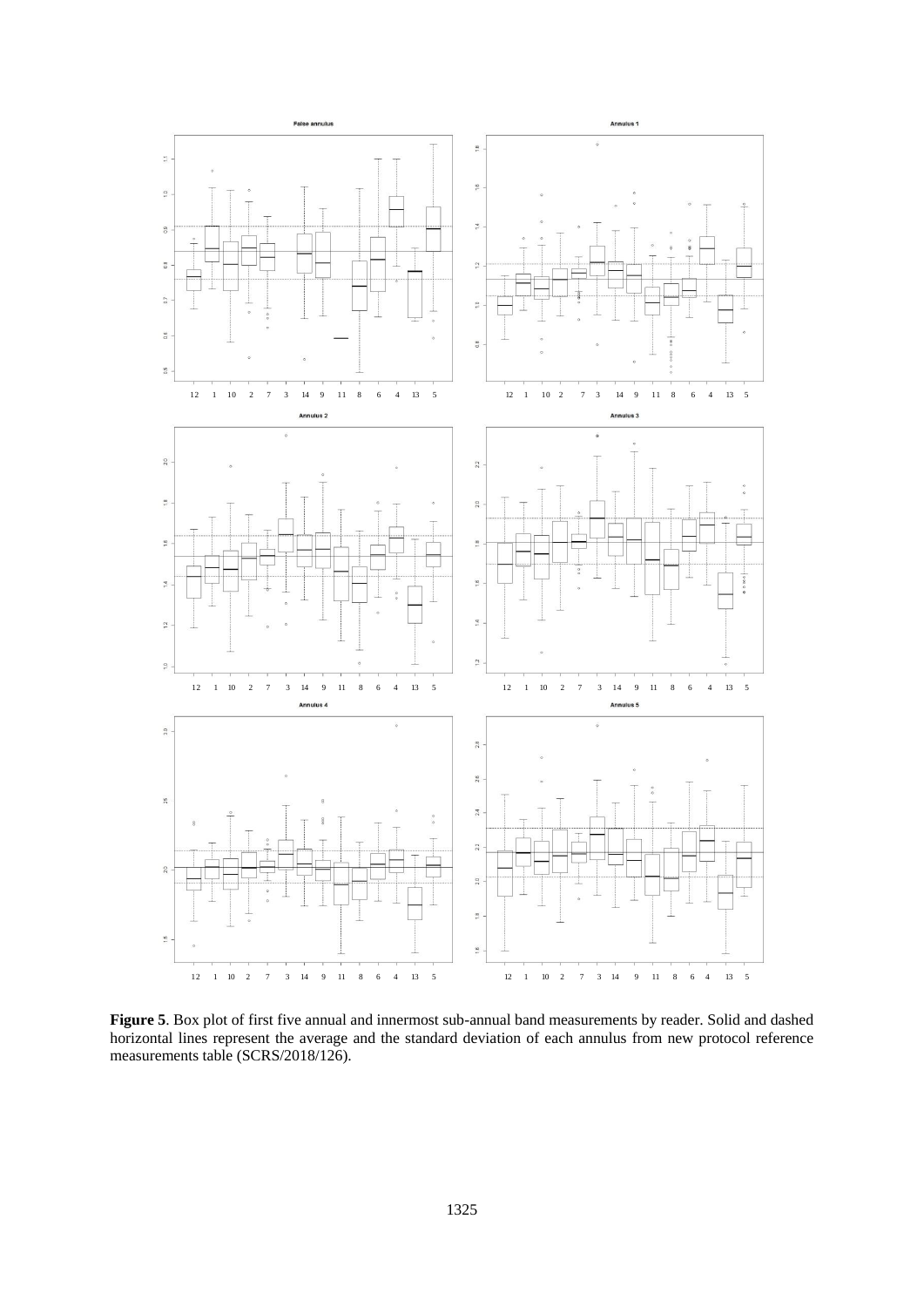

**Figure 5**. Box plot of first five annual and innermost sub-annual band measurements by reader. Solid and dashed horizontal lines represent the average and the standard deviation of each annulus from new protocol reference measurements table (SCRS/2018/126).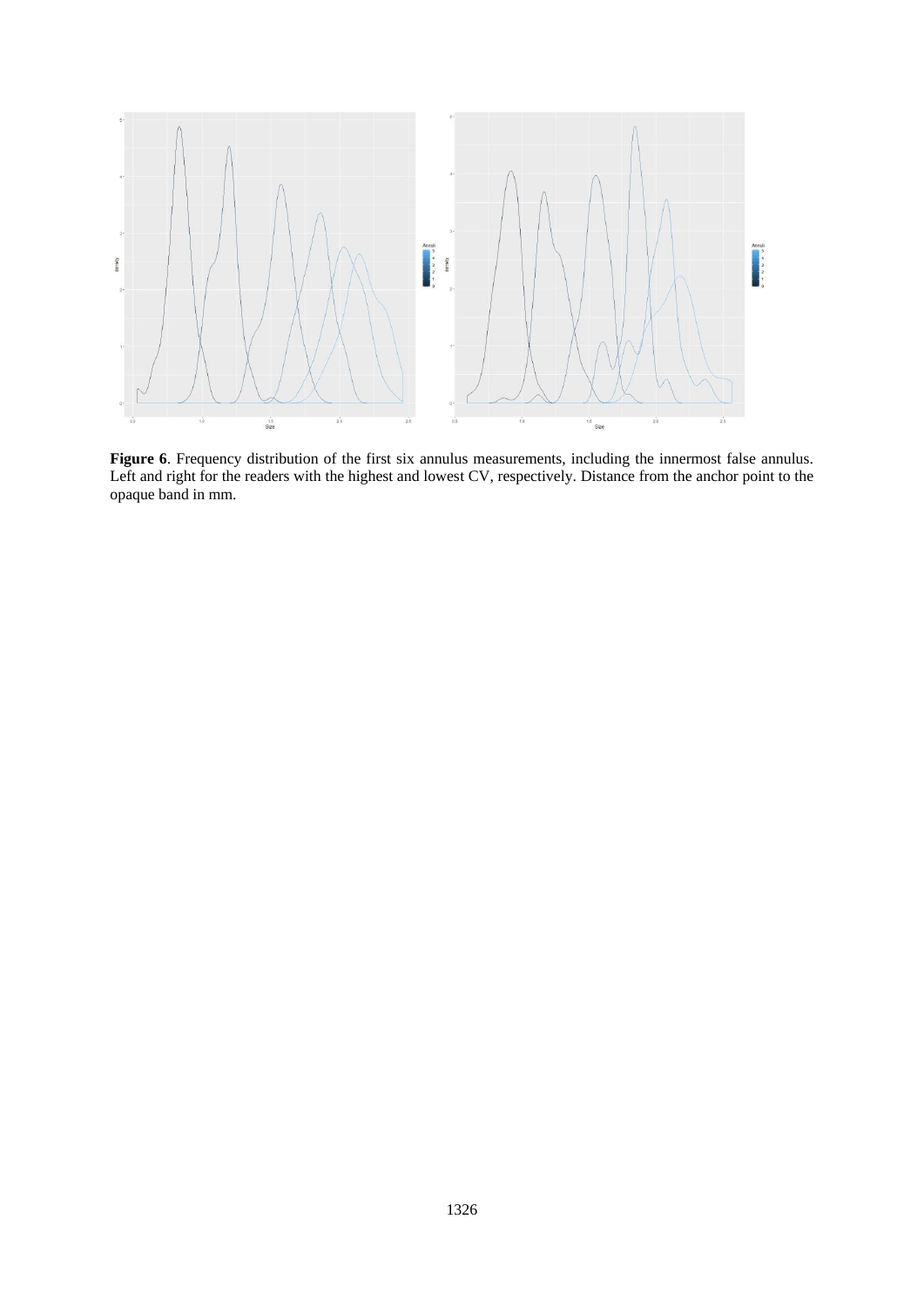

**Figure 6**. Frequency distribution of the first six annulus measurements, including the innermost false annulus. Left and right for the readers with the highest and lowest CV, respectively. Distance from the anchor point to the opaque band in mm.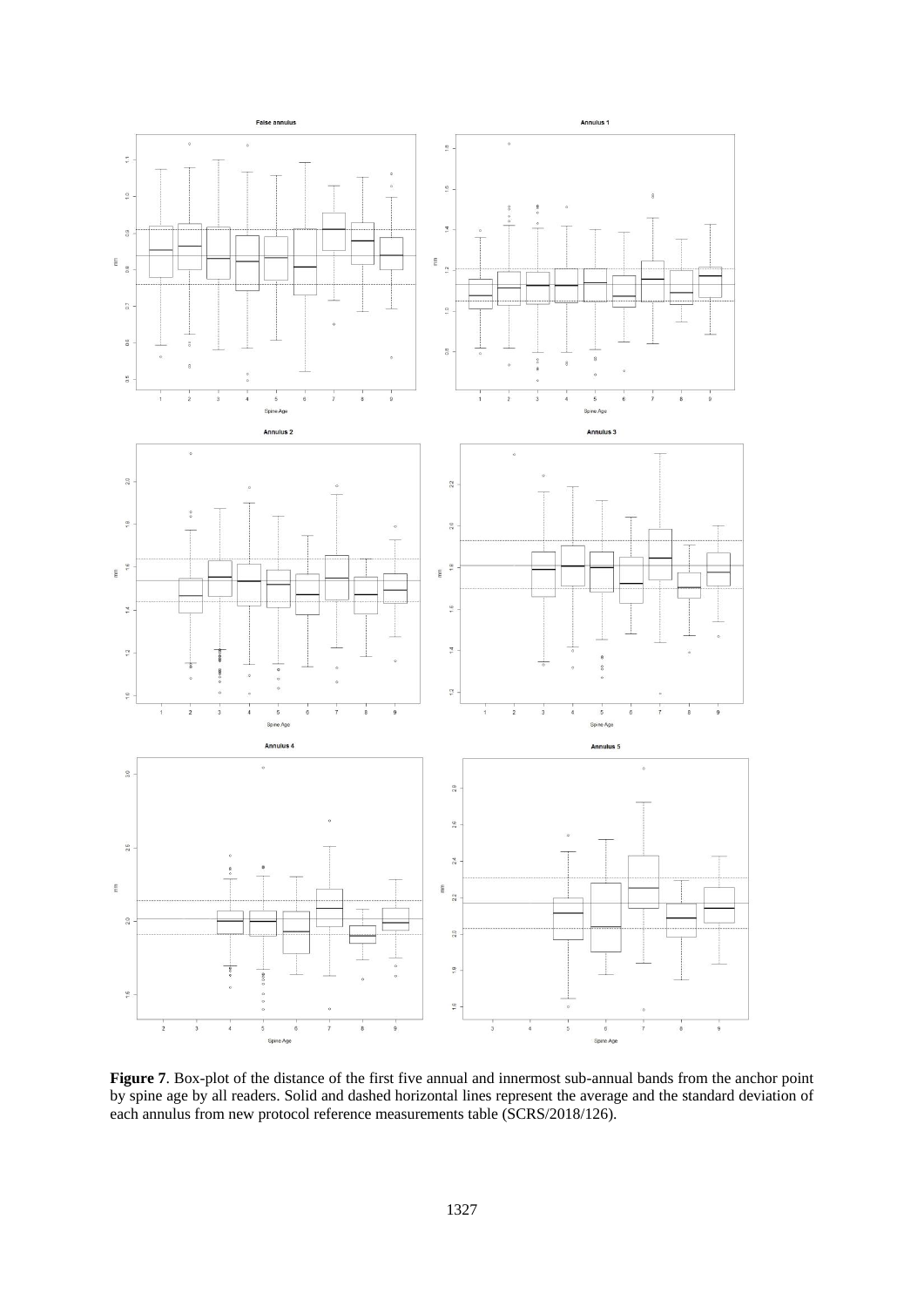

**Figure 7**. Box-plot of the distance of the first five annual and innermost sub-annual bands from the anchor point by spine age by all readers. Solid and dashed horizontal lines represent the average and the standard deviation of each annulus from new protocol reference measurements table (SCRS/2018/126).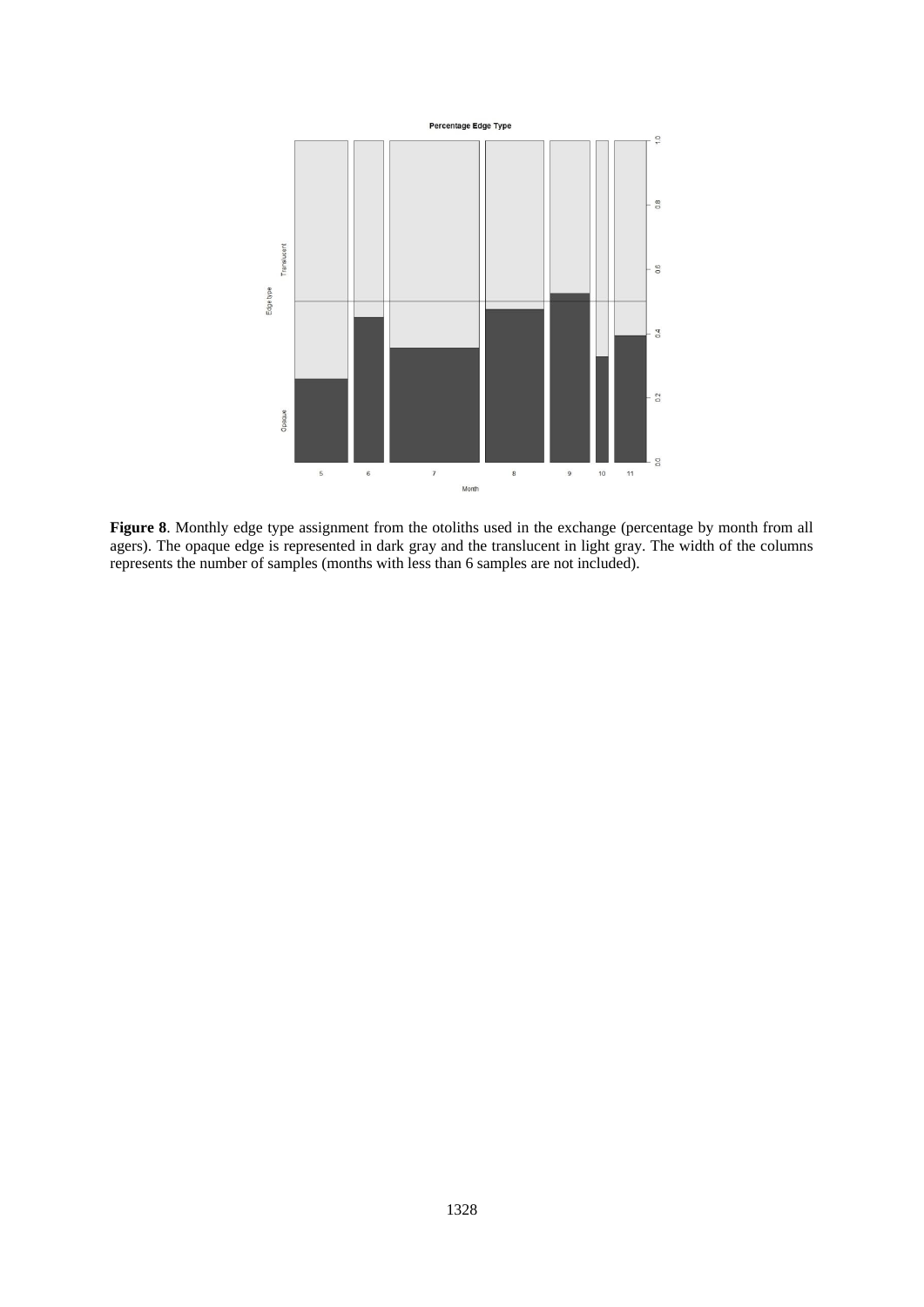

**Figure 8**. Monthly edge type assignment from the otoliths used in the exchange (percentage by month from all agers). The opaque edge is represented in dark gray and the translucent in light gray. The width of the columns represents the number of samples (months with less than 6 samples are not included).